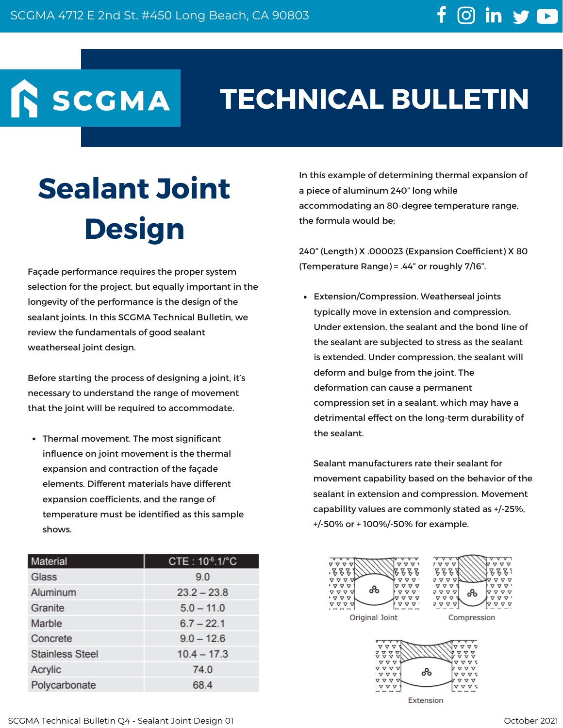SCGMA

## **TECHNICAL BULLETIN**

## **Sealant Joint Design**

Façade performance requires the proper system selection for the project, but equally important in the longevity of the performance is the design of the sealant joints. In this SCGMA Technical Bulletin, we review the fundamentals of good sealant weatherseal joint design.

Before starting the process of designing a joint, it's necessary to understand the range of movement that the joint will be required to accommodate.

Thermal movement. The most significant influence on joint movement is the thermal expansion and contraction of the façade elements. Different materials have different expansion coefficients, and the range of temperature must be identified as this sample shows.

| <b>Material</b>        | CTE: 10-6.1/°C |
|------------------------|----------------|
| Glass                  | 9.0            |
| Aluminum               | $23.2 - 23.8$  |
| Granite                | $5.0 - 11.0$   |
| <b>Marble</b>          | $6.7 - 22.1$   |
| Concrete               | $9.0 - 12.6$   |
| <b>Stainless Steel</b> | $10.4 - 17.3$  |
| <b>Acrylic</b>         | 74.0           |
| Polycarbonate          | 68.4           |

In this example of determining thermal expansion of a piece of aluminum 240" long while accommodating an 80-degree temperature range, the formula would be;

240" (Length) X .000023 (Expansion Coefficient) X 80 (Temperature Range) = .44" or roughly 7/16".

Extension/Compression. Weatherseal joints typically move in extension and compression. Under extension, the sealant and the bond line of the sealant are subjected to stress as the sealant is extended. Under compression, the sealant will deform and bulge from the joint. The deformation can cause a permanent compression set in a sealant, which may have a detrimental effect on the long-term durability of the sealant.

Sealant manufacturers rate their sealant for movement capability based on the behavior of the sealant in extension and compression. Movement capability values are commonly stated as +/-25%, +/-50% or + 100%/-50% for example.





**Extension**